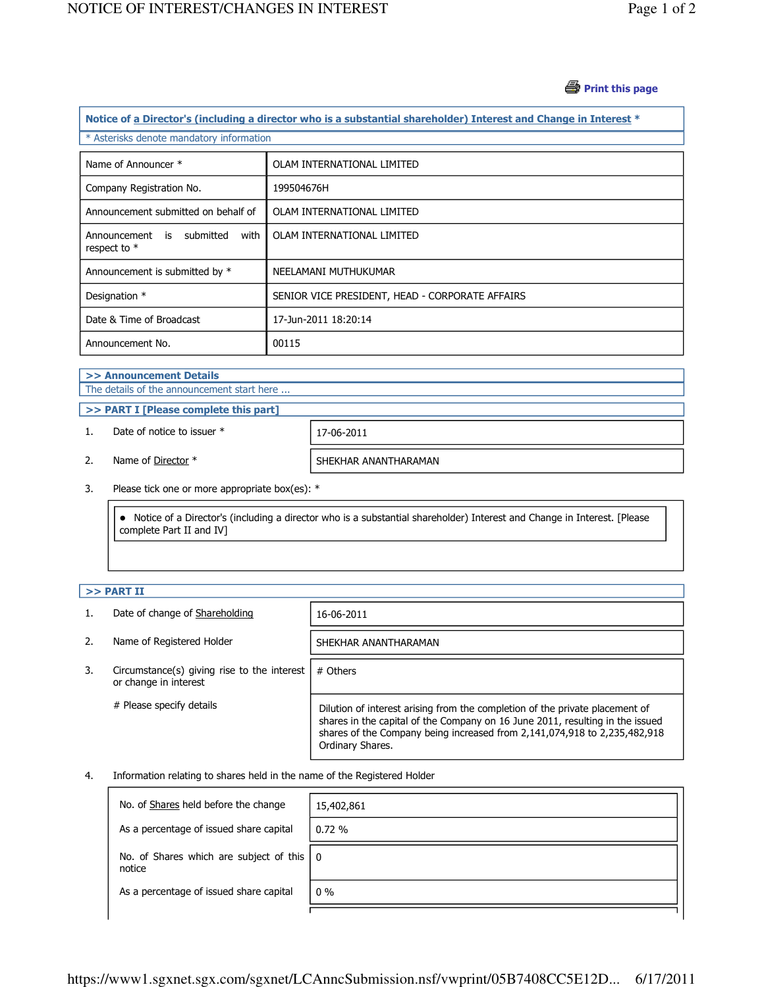#### *S* Print this page

| Notice of a Director's (including a director who is a substantial shareholder) Interest and Change in Interest * |
|------------------------------------------------------------------------------------------------------------------|
| * Asterisks denote mandatory information                                                                         |
|                                                                                                                  |

| Name of Announcer *                                       | OLAM INTERNATIONAL LIMITED                      |
|-----------------------------------------------------------|-------------------------------------------------|
| Company Registration No.                                  | 199504676H                                      |
| Announcement submitted on behalf of                       | OLAM INTERNATIONAL LIMITED                      |
| submitted<br>with<br>Announcement<br>is<br>respect to $*$ | OLAM INTERNATIONAL LIMITED                      |
| Announcement is submitted by *                            | NEELAMANI MUTHUKUMAR                            |
| Designation *                                             | SENIOR VICE PRESIDENT, HEAD - CORPORATE AFFAIRS |
| Date & Time of Broadcast                                  | 17-Jun-2011 18:20:14                            |
| Announcement No.                                          | 00115                                           |

# >> Announcement Details

The details of the announcement start here ...

### >> PART I [Please complete this part]

1. Date of notice to issuer  $*$  17-06-2011

2. Name of <u>Director</u> \* SHEKHAR ANANTHARAMAN

3. Please tick one or more appropriate box(es): \*

 Notice of a Director's (including a director who is a substantial shareholder) Interest and Change in Interest. [Please complete Part II and IV]

## $>>$  PART II

|    | Date of change of Shareholding                                       | 16-06-2011                                                                                                                                                                                                                                                     |
|----|----------------------------------------------------------------------|----------------------------------------------------------------------------------------------------------------------------------------------------------------------------------------------------------------------------------------------------------------|
|    | Name of Registered Holder                                            | SHEKHAR ANANTHARAMAN                                                                                                                                                                                                                                           |
| 3. | Circumstance(s) giving rise to the interest<br>or change in interest | # Others                                                                                                                                                                                                                                                       |
|    | # Please specify details                                             | Dilution of interest arising from the completion of the private placement of<br>shares in the capital of the Company on 16 June 2011, resulting in the issued<br>shares of the Company being increased from 2,141,074,918 to 2,235,482,918<br>Ordinary Shares. |

#### 4. Information relating to shares held in the name of the Registered Holder

| No. of Shares held before the change                          | 15,402,861 |
|---------------------------------------------------------------|------------|
| As a percentage of issued share capital                       | 0.72%      |
| No. of Shares which are subject of this $ 0\rangle$<br>notice |            |
| As a percentage of issued share capital                       | $0\%$      |
|                                                               |            |